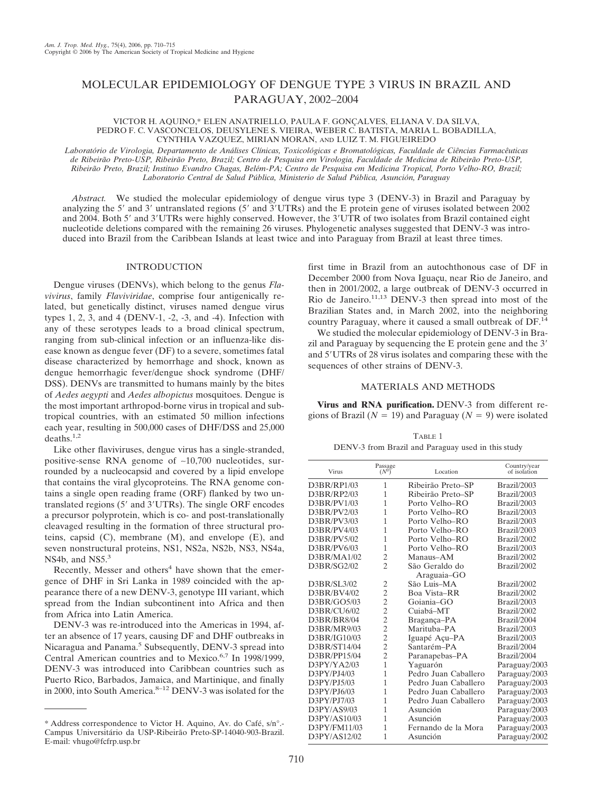# MOLECULAR EPIDEMIOLOGY OF DENGUE TYPE 3 VIRUS IN BRAZIL AND PARAGUAY, 2002–2004

VICTOR H. AQUINO,\* ELEN ANATRIELLO, PAULA F. GONÇALVES, ELIANA V. DA SILVA, PEDRO F. C. VASCONCELOS, DEUSYLENE S. VIEIRA, WEBER C. BATISTA, MARIA L. BOBADILLA, CYNTHIA VAZQUEZ, MIRIAN MORAN, AND LUIZ T. M. FIGUEIREDO

*Laboratório de Virologia, Departamento de Análises Clínicas, Toxicológicas e Bromatológicas, Faculdade de Ciências Farmacêuticas* de Ribeirão Preto-USP, Ribeirão Preto, Brazil; Centro de Pesquisa em Virologia, Faculdade de Medicina de Ribeirão Preto-USP, *Ribeira˜o Preto, Brazil; Instituo Evandro Chagas, Belém-PA; Centro de Pesquisa em Medicina Tropical, Porto Velho-RO, Brazil; Laboratorio Central de Salud Pública, Ministerio de Salud Pública, Asunción, Paraguay*

*Abstract.* We studied the molecular epidemiology of dengue virus type 3 (DENV-3) in Brazil and Paraguay by analyzing the 5' and 3' untranslated regions (5' and  $3'UTRs$ ) and the E protein gene of viruses isolated between 2002 and 2004. Both 5' and 3'UTRs were highly conserved. However, the 3'UTR of two isolates from Brazil contained eight nucleotide deletions compared with the remaining 26 viruses. Phylogenetic analyses suggested that DENV-3 was introduced into Brazil from the Caribbean Islands at least twice and into Paraguay from Brazil at least three times.

## INTRODUCTION

Dengue viruses (DENVs), which belong to the genus *Flavivirus*, family *Flaviviridae*, comprise four antigenically related, but genetically distinct, viruses named dengue virus types 1, 2, 3, and 4 (DENV-1, -2, -3, and -4). Infection with any of these serotypes leads to a broad clinical spectrum, ranging from sub-clinical infection or an influenza-like disease known as dengue fever (DF) to a severe, sometimes fatal disease characterized by hemorrhage and shock, known as dengue hemorrhagic fever/dengue shock syndrome (DHF/ DSS). DENVs are transmitted to humans mainly by the bites of *Aedes aegypti* and *Aedes albopictus* mosquitoes. Dengue is the most important arthropod-borne virus in tropical and subtropical countries, with an estimated 50 million infections each year, resulting in 500,000 cases of DHF/DSS and 25,000  $deaths.<sup>1,2</sup>$ 

Like other flaviviruses, dengue virus has a single-stranded, positive-sense RNA genome of ∼10,700 nucleotides, surrounded by a nucleocapsid and covered by a lipid envelope that contains the viral glycoproteins. The RNA genome contains a single open reading frame (ORF) flanked by two untranslated regions (5' and 3'UTRs). The single ORF encodes a precursor polyprotein, which is co- and post-translationally cleavaged resulting in the formation of three structural proteins, capsid (C), membrane (M), and envelope (E), and seven nonstructural proteins, NS1, NS2a, NS2b, NS3, NS4a, NS4b, and NS5.<sup>3</sup>

Recently, Messer and others<sup>4</sup> have shown that the emergence of DHF in Sri Lanka in 1989 coincided with the appearance there of a new DENV-3, genotype III variant, which spread from the Indian subcontinent into Africa and then from Africa into Latin America.

DENV-3 was re-introduced into the Americas in 1994, after an absence of 17 years, causing DF and DHF outbreaks in Nicaragua and Panama.<sup>5</sup> Subsequently, DENV-3 spread into Central American countries and to Mexico.<sup>6,7</sup> In 1998/1999, DENV-3 was introduced into Caribbean countries such as Puerto Rico, Barbados, Jamaica, and Martinique, and finally in 2000, into South America.<sup>8-12</sup> DENV-3 was isolated for the

first time in Brazil from an autochthonous case of DF in December 2000 from Nova Iguaçu, near Rio de Janeiro, and then in 2001/2002, a large outbreak of DENV-3 occurred in Rio de Janeiro. $11,13$  DENV-3 then spread into most of the Brazilian States and, in March 2002, into the neighboring country Paraguay, where it caused a small outbreak of DF.<sup>14</sup>

We studied the molecular epidemiology of DENV-3 in Brazil and Paraguay by sequencing the E protein gene and the 3 and 5'UTRs of 28 virus isolates and comparing these with the sequences of other strains of DENV-3.

## MATERIALS AND METHODS

**Virus and RNA purification.** DENV-3 from different regions of Brazil ( $N = 19$ ) and Paraguay ( $N = 9$ ) were isolated

TABLE 1 DENV-3 from Brazil and Paraguay used in this study

| Virus        | Passage<br>$(N^0)$       | Location             | Country/year<br>of isolation |  |  |  |  |
|--------------|--------------------------|----------------------|------------------------------|--|--|--|--|
| D3BR/RP1/03  | 1                        | Ribeirão Preto-SP    | Brazil/2003                  |  |  |  |  |
| D3BR/RP2/03  | 1                        | Ribeirão Preto-SP    | Brazil/2003                  |  |  |  |  |
| D3BR/PV1/03  | 1                        | Porto Velho-RO       | Brazil/2003                  |  |  |  |  |
| D3BR/PV2/03  | 1                        | Porto Velho-RO       | Brazil/2003                  |  |  |  |  |
| D3BR/PV3/03  | 1                        | Porto Velho-RO       | Brazil/2003                  |  |  |  |  |
| D3BR/PV4/03  | 1                        | Porto Velho-RO       | Brazil/2003                  |  |  |  |  |
| D3BR/PV5/02  | 1                        | Porto Velho-RO       | Brazil/2002                  |  |  |  |  |
| D3BR/PV6/03  | 1                        | Porto Velho-RO       | Brazil/2003                  |  |  |  |  |
| D3BR/MA1/02  | $\overline{2}$           | Manaus-AM            | Brazil/2002                  |  |  |  |  |
| D3BR/SG2/02  | $\overline{\mathcal{L}}$ | São Geraldo do       | Brazil/2002                  |  |  |  |  |
|              |                          | Araguaia-GO          |                              |  |  |  |  |
| D3BR/SL3/02  | $\overline{2}$           | São Luis-MA          | Brazil/2002                  |  |  |  |  |
| D3BR/BV4/02  | $\overline{2}$           | Boa Vista-RR         | Brazil/2002                  |  |  |  |  |
| D3BR/GO5/03  | $\overline{2}$           | Goiania-GO           | Brazil/2003                  |  |  |  |  |
| D3BR/CU6/02  | $\overline{2}$           | Cuiabá-MT            | Brazil/2002                  |  |  |  |  |
| D3BR/BR8/04  | $\overline{2}$           | Bragança-PA          | Brazil/2004                  |  |  |  |  |
| D3BR/MR9/03  | $\overline{2}$           | Marituba-PA          | Brazil/2003                  |  |  |  |  |
| D3BR/IG10/03 | $\overline{c}$           | Iguapé Açu-PA        | Brazil/2003                  |  |  |  |  |
| D3BR/ST14/04 | $\overline{c}$           | Santarém-PA          | Brazil/2004                  |  |  |  |  |
| D3BR/PP15/04 | $\overline{2}$           | Paranapebas-PA       | Brazil/2004                  |  |  |  |  |
| D3PY/YA2/03  | 1                        | Yaguarón             | Paraguay/2003                |  |  |  |  |
| D3PY/PJ4/03  | 1                        | Pedro Juan Caballero | Paraguay/2003                |  |  |  |  |
| D3PY/PJ5/03  | 1                        | Pedro Juan Caballero | Paraguay/2003                |  |  |  |  |
| D3PY/PJ6/03  | 1                        | Pedro Juan Caballero | Paraguay/2003                |  |  |  |  |
| D3PY/PJ7/03  | 1                        | Pedro Juan Caballero | Paraguay/2003                |  |  |  |  |
| D3PY/AS9/03  | 1                        | Asunción             | Paraguay/2003                |  |  |  |  |
| D3PY/AS10/03 | 1                        | Asunción             | Paraguay/2003                |  |  |  |  |
| D3PY/FM11/03 | 1                        | Fernando de la Mora  | Paraguay/2003                |  |  |  |  |
| D3PY/AS12/02 | 1                        | Asunción             | Paraguay/2002                |  |  |  |  |

<sup>\*</sup> Address correspondence to Victor H. Aquino, Av. do Café, s/n°.-Campus Universitário da USP-Ribeirão Preto-SP-14040-903-Brazil. E-mail: vhugo@fcfrp.usp.br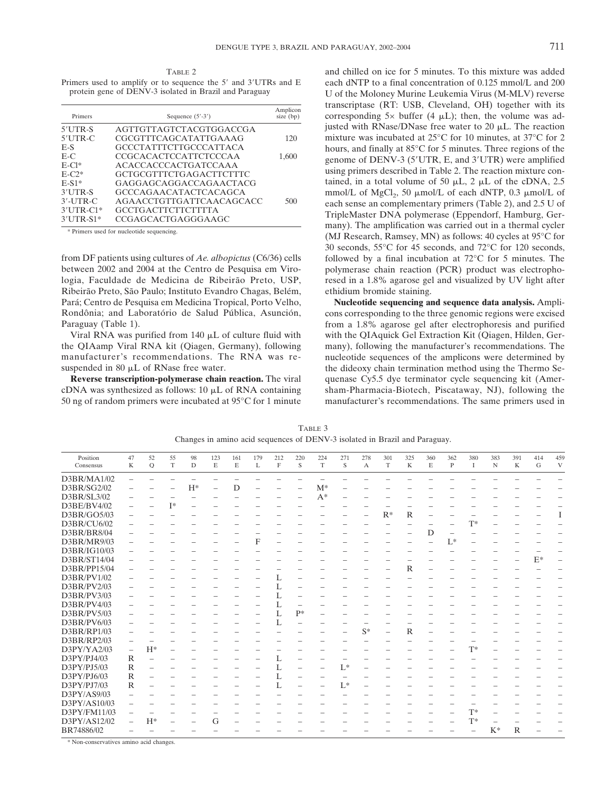TABLE 2 Primers used to amplify or to sequence the 5' and 3'UTRs and E protein gene of DENV-3 isolated in Brazil and Paraguay

| Primers      | Sequence $(5' - 3')$          | Amplicon<br>size (bp) |  |  |
|--------------|-------------------------------|-----------------------|--|--|
| $5'$ UTR-S   | AGTTGTTAGTCTACGTGGACCGA       |                       |  |  |
| $5'$ UTR-C   | CGCGTTTCAGCATATTGAAAG         | 120                   |  |  |
| $E-S$        | <b>GCCCTATTTCTTGCCCATTACA</b> |                       |  |  |
| $E-C$        | CCGCACACTCCATTCTCCCAA         | 1,600                 |  |  |
| $E-CI*$      | <b>ACACCACCCACTGATCCAAA</b>   |                       |  |  |
| $E-C2*$      | GCTGCGTTTCTGAGACTTCTTTC       |                       |  |  |
| $E-S1*$      | GAGGAGCAGGACCAGAACTACG        |                       |  |  |
| $3'UTR-S$    | <b>GCCCAGAACATACTCACAGCA</b>  |                       |  |  |
| $3'$ -UTR-C  | AGAACCTGTTGATTCAACAGCACC      | 500                   |  |  |
| $3'$ UTR-C1* | <b>GCCTGACTTCTTCTTTTA</b>     |                       |  |  |
| $3'$ UTR-S1* | CCGAGCACTGAGGGAAGC            |                       |  |  |

\* Primers used for nucleotide sequencing.

from DF patients using cultures of *Ae. albopictus* (C6/36) cells between 2002 and 2004 at the Centro de Pesquisa em Virologia, Faculdade de Medicina de Ribeirão Preto, USP, Ribeirão Preto, São Paulo; Instituto Evandro Chagas, Belém, Pará; Centro de Pesquisa em Medicina Tropical, Porto Velho, Rondônia; and Laboratório de Salud Pública, Asunción, Paraguay (Table 1).

Viral RNA was purified from  $140 \mu L$  of culture fluid with the QIAamp Viral RNA kit (Qiagen, Germany), following manufacturer's recommendations. The RNA was resuspended in 80  $\mu$ L of RNase free water.

**Reverse transcription-polymerase chain reaction.** The viral cDNA was synthesized as follows:  $10 \mu L$  of RNA containing 50 ng of random primers were incubated at 95°C for 1 minute

and chilled on ice for 5 minutes. To this mixture was added each dNTP to a final concentration of 0.125 mmol/L and 200 U of the Moloney Murine Leukemia Virus (M-MLV) reverse transcriptase (RT: USB, Cleveland, OH) together with its corresponding  $5\times$  buffer (4  $\mu$ L); then, the volume was adjusted with RNase/DNase free water to 20  $\mu$ L. The reaction mixture was incubated at 25°C for 10 minutes, at 37°C for 2 hours, and finally at 85°C for 5 minutes. Three regions of the genome of DENV-3 (5'UTR, E, and 3'UTR) were amplified using primers described in Table 2. The reaction mixture contained, in a total volume of 50  $\mu$ L, 2  $\mu$ L of the cDNA, 2.5 mmol/L of MgCl<sub>2</sub>, 50  $\mu$ mol/L of each dNTP, 0.3  $\mu$ mol/L of each sense an complementary primers (Table 2), and 2.5 U of TripleMaster DNA polymerase (Eppendorf, Hamburg, Germany). The amplification was carried out in a thermal cycler (MJ Research, Ramsey, MN) as follows: 40 cycles at 95°C for 30 seconds, 55°C for 45 seconds, and 72°C for 120 seconds, followed by a final incubation at 72°C for 5 minutes. The polymerase chain reaction (PCR) product was electrophoresed in a 1.8% agarose gel and visualized by UV light after ethidium bromide staining.

**Nucleotide sequencing and sequence data analysis.** Amplicons corresponding to the three genomic regions were excised from a 1.8% agarose gel after electrophoresis and purified with the QIAquick Gel Extraction Kit (Qiagen, Hilden, Germany), following the manufacturer's recommendations. The nucleotide sequences of the amplicons were determined by the dideoxy chain termination method using the Thermo Sequenase Cy5.5 dye terminator cycle sequencing kit (Amersham-Pharmacia-Biotech, Piscataway, NJ), following the manufacturer's recommendations. The same primers used in

TABLE 3 Changes in amino acid sequences of DENV-3 isolated in Brazil and Paraguay.

| Position<br>Consensus | 47<br>$\rm K$            | 52<br>$\overline{Q}$ | 55<br>T | 98<br>D | 123<br>$\mathbf E$ | 161<br>E | 179<br>L | 212<br>$\mathbf F$ | 220<br>S | 224<br>$\mathbf T$ | 271<br>S                 | 278<br>$\mathbf{A}$ | 301<br>$\mathbf T$ | 325<br>$\mathbf K$ | 360<br>E | 362<br>$\mathbf P$ | 380<br>$\mathbf I$ | 383<br>N                 | 391<br>$\mathbf K$ | 414<br>G | 459<br>V                 |
|-----------------------|--------------------------|----------------------|---------|---------|--------------------|----------|----------|--------------------|----------|--------------------|--------------------------|---------------------|--------------------|--------------------|----------|--------------------|--------------------|--------------------------|--------------------|----------|--------------------------|
| D3BR/MA1/02           |                          |                      |         |         |                    |          |          |                    |          |                    |                          |                     |                    |                    |          |                    |                    |                          |                    |          |                          |
| D3BR/SG2/02           |                          |                      |         | $H^*$   |                    | D        |          |                    |          | $M^*$              |                          |                     |                    |                    |          |                    |                    |                          |                    |          |                          |
| D3BR/SL3/02           |                          |                      |         |         |                    |          |          |                    |          | $A^*$              |                          |                     |                    |                    |          |                    |                    |                          |                    |          |                          |
| D3BE/BV4/02           | -                        |                      | $I^*$   |         |                    |          |          |                    |          |                    |                          |                     |                    |                    |          |                    |                    |                          |                    |          |                          |
| D3BR/GO5/03           |                          |                      |         |         |                    |          |          |                    |          |                    |                          |                     | $R^*$              | $\mathbb{R}$       |          |                    |                    |                          |                    |          | I                        |
| D3BR/CU6/02           |                          |                      |         |         |                    |          |          |                    |          |                    |                          |                     |                    |                    |          |                    | T*                 |                          |                    |          |                          |
| D3BR/BR8/04           |                          |                      |         |         |                    |          |          |                    |          |                    |                          |                     |                    |                    | D        | -                  |                    |                          |                    |          |                          |
| D3BR/MR9/03           |                          |                      |         |         |                    |          | F        |                    |          |                    |                          |                     |                    |                    |          | $L^*$              |                    |                          |                    |          |                          |
| D3BR/IG10/03          |                          |                      |         |         |                    |          |          |                    |          |                    |                          |                     |                    |                    |          |                    |                    |                          |                    |          |                          |
| D3BR/ST14/04          |                          |                      |         |         |                    |          |          |                    |          |                    |                          |                     |                    |                    |          |                    |                    |                          |                    | $E^*$    | $\overline{\phantom{0}}$ |
| D3BR/PP15/04          |                          |                      |         |         |                    |          |          |                    |          |                    |                          |                     |                    | $\mathbb{R}$       |          |                    |                    |                          |                    |          |                          |
| D3BR/PV1/02           |                          |                      |         |         |                    |          |          |                    |          |                    |                          |                     |                    |                    |          |                    |                    |                          |                    |          |                          |
| D3BR/PV2/03           |                          |                      |         |         |                    |          |          |                    |          |                    |                          |                     |                    |                    |          |                    |                    |                          |                    |          |                          |
| D3BR/PV3/03           |                          |                      |         |         |                    |          |          |                    |          |                    |                          |                     |                    |                    |          |                    |                    |                          |                    |          |                          |
| D3BR/PV4/03           |                          |                      |         |         |                    |          |          |                    |          |                    |                          |                     |                    |                    |          |                    |                    |                          |                    |          |                          |
| D3BR/PV5/03           |                          |                      |         |         |                    |          |          | L                  | $P*$     |                    |                          |                     |                    |                    |          |                    |                    |                          |                    |          |                          |
| D3BR/PV6/03           |                          |                      |         |         |                    |          |          | L                  |          |                    |                          |                     |                    |                    |          |                    |                    |                          |                    |          |                          |
| D3BR/RP1/03           |                          |                      |         |         |                    |          |          |                    |          |                    |                          | $S^*$               |                    | R                  |          |                    |                    |                          |                    |          |                          |
| D3BR/RP2/03           |                          |                      |         |         |                    |          |          |                    |          |                    |                          |                     |                    |                    |          |                    |                    |                          |                    |          |                          |
| D3PY/YA2/03           | $\overline{\phantom{0}}$ | $H^*$                |         |         |                    |          |          |                    |          |                    |                          |                     |                    |                    |          |                    | $T^*$              |                          |                    |          |                          |
| D3PY/PJ4/03           | $\mathbb R$              |                      |         |         |                    |          |          |                    |          |                    |                          |                     |                    |                    |          |                    |                    |                          |                    |          |                          |
| D3PY/PJ5/03           | $\mathbb R$              |                      |         |         |                    |          |          | L                  |          |                    | $L^*$                    |                     |                    |                    |          |                    |                    |                          |                    |          |                          |
| D3PY/PJ6/03           | $\mathbb{R}$             |                      |         |         |                    |          |          |                    |          |                    | $\overline{\phantom{0}}$ |                     |                    |                    |          |                    |                    |                          |                    |          |                          |
| D3PY/PJ7/03           | $\mathbb R$              |                      |         |         |                    |          |          |                    |          |                    | $L^*$                    |                     |                    |                    |          |                    |                    |                          |                    |          |                          |
| D3PY/AS9/03           |                          |                      |         |         |                    |          |          |                    |          |                    |                          |                     |                    |                    |          |                    |                    |                          |                    |          |                          |
| D3PY/AS10/03          | -                        |                      |         |         |                    |          |          |                    |          |                    |                          |                     |                    |                    |          |                    |                    |                          |                    |          |                          |
| D3PY/FM11/03          |                          |                      |         |         |                    |          |          |                    |          |                    |                          |                     |                    |                    |          |                    | $T^*$              |                          |                    |          |                          |
| D3PY/AS12/02          | $\overline{\phantom{0}}$ | $H^*$                |         |         | G                  |          |          |                    |          |                    |                          |                     |                    |                    |          |                    | $T^*$              | $\overline{\phantom{m}}$ | -                  |          |                          |
| BR74886/02            |                          |                      |         |         |                    |          |          |                    |          |                    |                          |                     |                    |                    |          |                    |                    | $K^*$                    | $\mathbb{R}$       |          |                          |

\* Non-conservatives amino acid changes.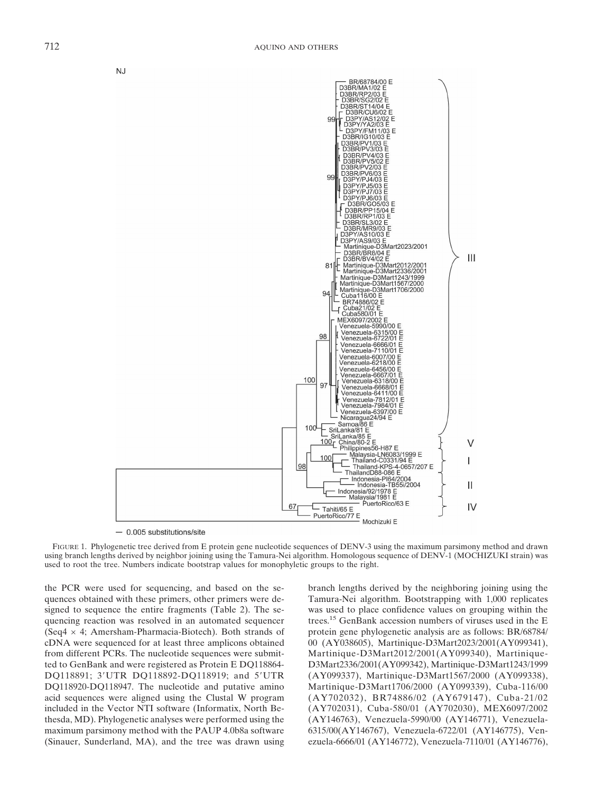

 $-$  0.005 substitutions/site

FIGURE 1. Phylogenetic tree derived from E protein gene nucleotide sequences of DENV-3 using the maximum parsimony method and drawn using branch lengths derived by neighbor joining using the Tamura-Nei algorithm. Homologous sequence of DENV-1 (MOCHIZUKI strain) was used to root the tree. Numbers indicate bootstrap values for monophyletic groups to the right.

the PCR were used for sequencing, and based on the sequences obtained with these primers, other primers were designed to sequence the entire fragments (Table 2). The sequencing reaction was resolved in an automated sequencer (Seq4 × 4; Amersham-Pharmacia-Biotech). Both strands of cDNA were sequenced for at least three amplicons obtained from different PCRs. The nucleotide sequences were submitted to GenBank and were registered as Protein E DQ118864- DQ118891; 3'UTR DQ118892-DQ118919; and 5'UTR DQ118920-DQ118947. The nucleotide and putative amino acid sequences were aligned using the Clustal W program included in the Vector NTI software (Informatix, North Bethesda, MD). Phylogenetic analyses were performed using the maximum parsimony method with the PAUP 4.0b8a software (Sinauer, Sunderland, MA), and the tree was drawn using

branch lengths derived by the neighboring joining using the Tamura-Nei algorithm. Bootstrapping with 1,000 replicates was used to place confidence values on grouping within the trees.15 GenBank accession numbers of viruses used in the E protein gene phylogenetic analysis are as follows: BR/68784/ 00 (AY038605), Martinique-D3Mart2023/2001(AY099341), Martinique-D3Mart2012/2001(AY099340), Martinique-D3Mart2336/2001(AY099342), Martinique-D3Mart1243/1999 (AY099337), Martinique-D3Mart1567/2000 (AY099338), Martinique-D3Mart1706/2000 (AY099339), Cuba-116/00 (AY702032), BR74886/02 (AY679147), Cuba-21/02 (AY702031), Cuba-580/01 (AY702030), MEX6097/2002 (AY146763), Venezuela-5990/00 (AY146771), Venezuela-6315/00(AY146767), Venezuela-6722/01 (AY146775), Venezuela-6666/01 (AY146772), Venezuela-7110/01 (AY146776),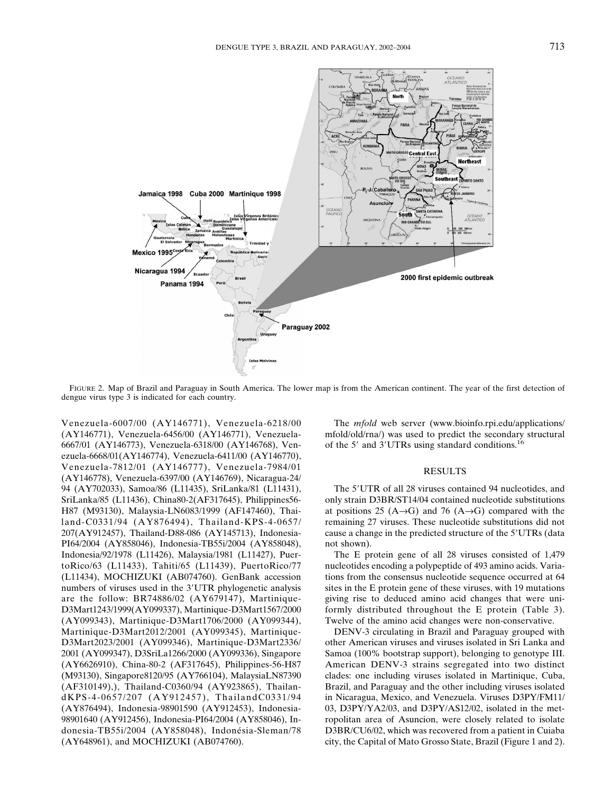

FIGURE 2. Map of Brazil and Paraguay in South America. The lower map is from the American continent. The year of the first detection of dengue virus type 3 is indicated for each country.

Venezuela-6007/00 (AY146771), Venezuela-6218/00 (AY146771), Venezuela-6456/00 (AY146771), Venezuela-6667/01 (AY146773), Venezuela-6318/00 (AY146768), Venezuela-6668/01(AY146774), Venezuela-6411/00 (AY146770), Venezuela-7812/01 (AY146777), Venezuela-7984/01 (AY146778), Venezuela-6397/00 (AY146769), Nicaragua-24/ 94 (AY702033), Samoa/86 (L11435), SriLanka/81 (L11431), SriLanka/85 (L11436), China80-2(AF317645), Philippines56- H87 (M93130), Malaysia-LN6083/1999 (AF147460), Thailand-C0331/94 (AY876494), Thailand-KPS-4-0657/ 207(AY912457), Thailand-D88-086 (AY145713), Indonesia-PI64/2004 (AY858046), Indonesia-TB55i/2004 (AY858048), Indonesia/92/1978 (L11426), Malaysia/1981 (L11427), PuertoRico/63 (L11433), Tahiti/65 (L11439), PuertoRico/77 (L11434), MOCHIZUKI (AB074760). GenBank accession numbers of viruses used in the 3'UTR phylogenetic analysis are the follow: BR74886/02 (AY679147), Martinique-D3Mart1243/1999(AY099337), Martinique-D3Mart1567/2000 (AY099343), Martinique-D3Mart1706/2000 (AY099344), Martinique-D3Mart2012/2001 (AY099345), Martinique-D3Mart2023/2001 (AY099346), Martinique-D3Mart2336/ 2001 (AY099347), D3SriLa1266/2000 (AY099336), Singapore (AY6626910), China-80-2 (AF317645), Philippines-56-H87 (M93130), Singapore8120/95 (AY766104), MalaysiaLN87390 (AF310149),), Thailand-C0360/94 (AY923865), ThailandKPS-4-0657/207 (AY912457), ThailandC0331/94 (AY876494), Indonesia-98901590 (AY912453), Indonesia-98901640 (AY912456), Indonesia-PI64/2004 (AY858046), Indonesia-TB55i/2004 (AY858048), Indonésia-Sleman/78 (AY648961), and MOCHIZUKI (AB074760).

The *mfold* web server (www.bioinfo.rpi.edu/applications/ mfold/old/rna/) was used to predict the secondary structural of the 5' and 3'UTRs using standard conditions.<sup>16</sup>

#### RESULTS

The 5'UTR of all 28 viruses contained 94 nucleotides, and only strain D3BR/ST14/04 contained nucleotide substitutions at positions 25 (A→G) and 76 (A→G) compared with the remaining 27 viruses. These nucleotide substitutions did not cause a change in the predicted structure of the 5'UTRs (data not shown).

The E protein gene of all 28 viruses consisted of 1,479 nucleotides encoding a polypeptide of 493 amino acids. Variations from the consensus nucleotide sequence occurred at 64 sites in the E protein gene of these viruses, with 19 mutations giving rise to deduced amino acid changes that were uniformly distributed throughout the E protein (Table 3). Twelve of the amino acid changes were non-conservative.

DENV-3 circulating in Brazil and Paraguay grouped with other American viruses and viruses isolated in Sri Lanka and Samoa (100% bootstrap support), belonging to genotype III. American DENV-3 strains segregated into two distinct clades: one including viruses isolated in Martinique, Cuba, Brazil, and Paraguay and the other including viruses isolated in Nicaragua, Mexico, and Venezuela. Viruses D3PY/FM11/ 03, D3PY/YA2/03, and D3PY/AS12/02, isolated in the metropolitan area of Asuncion, were closely related to isolate D3BR/CU6/02, which was recovered from a patient in Cuiaba city, the Capital of Mato Grosso State, Brazil (Figure 1 and 2).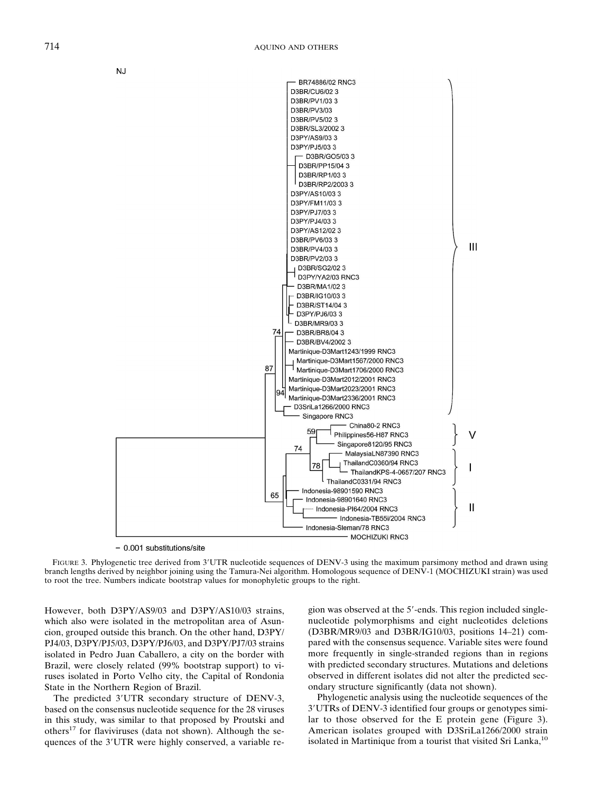



- 0.001 substitutions/site

FIGURE 3. Phylogenetic tree derived from 3'UTR nucleotide sequences of DENV-3 using the maximum parsimony method and drawn using branch lengths derived by neighbor joining using the Tamura-Nei algorithm. Homologous sequence of DENV-1 (MOCHIZUKI strain) was used to root the tree. Numbers indicate bootstrap values for monophyletic groups to the right.

However, both D3PY/AS9/03 and D3PY/AS10/03 strains, which also were isolated in the metropolitan area of Asuncion, grouped outside this branch. On the other hand, D3PY/ PJ4/03, D3PY/PJ5/03, D3PY/PJ6/03, and D3PY/PJ7/03 strains isolated in Pedro Juan Caballero, a city on the border with Brazil, were closely related (99% bootstrap support) to viruses isolated in Porto Velho city, the Capital of Rondonia State in the Northern Region of Brazil.

The predicted 3'UTR secondary structure of DENV-3, based on the consensus nucleotide sequence for the 28 viruses in this study, was similar to that proposed by Proutski and others<sup>17</sup> for flaviviruses (data not shown). Although the sequences of the 3'UTR were highly conserved, a variable region was observed at the 5'-ends. This region included singlenucleotide polymorphisms and eight nucleotides deletions (D3BR/MR9/03 and D3BR/IG10/03, positions 14–21) compared with the consensus sequence. Variable sites were found more frequently in single-stranded regions than in regions with predicted secondary structures. Mutations and deletions observed in different isolates did not alter the predicted secondary structure significantly (data not shown).

Phylogenetic analysis using the nucleotide sequences of the 3UTRs of DENV-3 identified four groups or genotypes similar to those observed for the E protein gene (Figure 3). American isolates grouped with D3SriLa1266/2000 strain isolated in Martinique from a tourist that visited Sri Lanka, $^{10}$